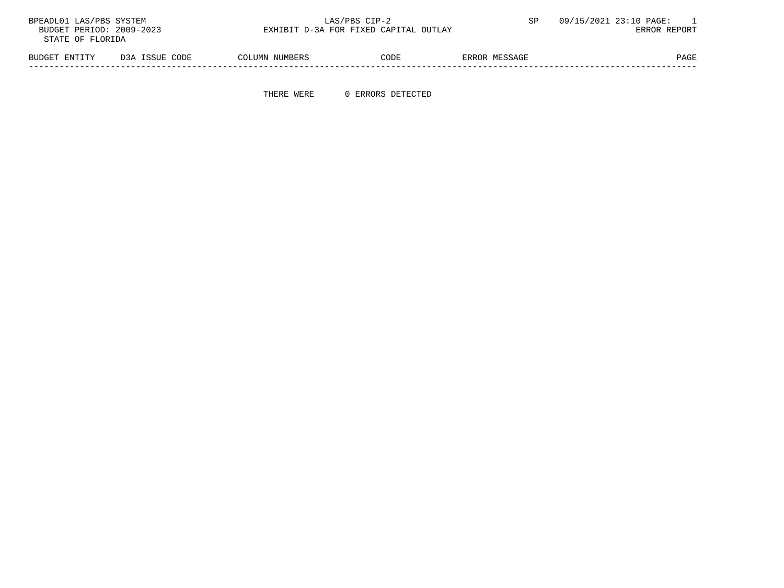| BPEADL01 LAS/PBS SYSTEM  |                | LAS/PBS CIP-2                         |      |               | 09/15/2021 23:10 PAGE: |
|--------------------------|----------------|---------------------------------------|------|---------------|------------------------|
| BUDGET PERIOD: 2009-2023 |                | EXHIBIT D-3A FOR FIXED CAPITAL OUTLAY |      |               | ERROR REPORT           |
| STATE OF FLORIDA         |                |                                       |      |               |                        |
| BUDGET ENTITY            | D3A ISSUE CODE | COLUMN NUMBERS                        | CODE | ERROR MESSAGE | PAGE                   |

-----------------------------------------------------------------------------------------------------------------------------------

THERE WERE 0 ERRORS DETECTED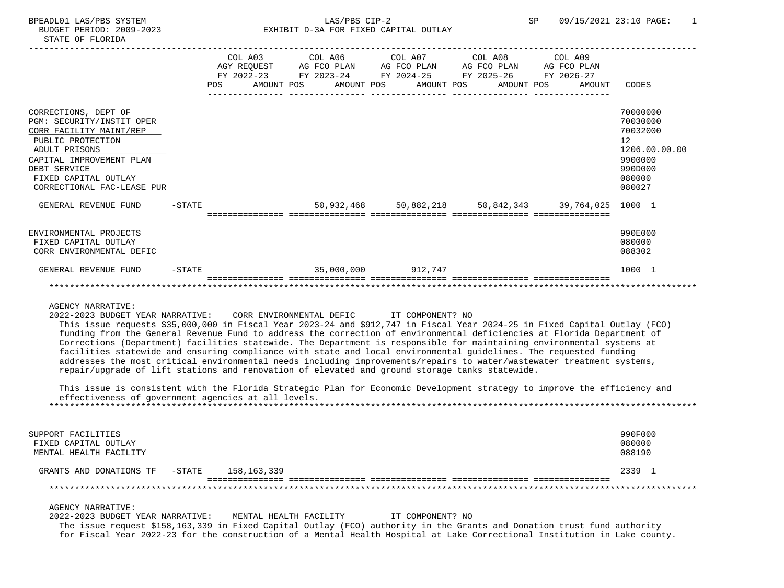# BPEADL01 LAS/PBS SYSTEM SALLAS/PBS CIP-2 SP 09/15/2021 23:10 PAGE: 1 BUDGET PERIOD: 2009-2023 EXHIBIT D-3A FOR FIXED CAPITAL OUTLAY

|                                                                                                                                                                                                                      |           | POS |  |                    |  | COL A03 COL A06 COL A07 COL A08 COL A09<br>AGY REQUEST AG FCO PLAN AG FCO PLAN AG FCO PLAN AG FCO PLAN<br>FY 2022-23 FY 2023-24 FY 2024-25 FY 2025-26 FY 2026-27 | AMOUNT POS       AMOUNT POS      AMOUNT POS      AMOUNT POS      AMOUNT | CODES                                                                                             |
|----------------------------------------------------------------------------------------------------------------------------------------------------------------------------------------------------------------------|-----------|-----|--|--------------------|--|------------------------------------------------------------------------------------------------------------------------------------------------------------------|-------------------------------------------------------------------------|---------------------------------------------------------------------------------------------------|
| CORRECTIONS, DEPT OF<br>PGM: SECURITY/INSTIT OPER<br>CORR FACILITY MAINT/REP<br>PUBLIC PROTECTION<br>ADULT PRISONS<br>CAPITAL IMPROVEMENT PLAN<br>DEBT SERVICE<br>FIXED CAPITAL OUTLAY<br>CORRECTIONAL FAC-LEASE PUR |           |     |  |                    |  |                                                                                                                                                                  |                                                                         | 70000000<br>70030000<br>70032000<br>12<br>1206.00.00.00<br>9900000<br>990D000<br>080000<br>080027 |
| GENERAL REVENUE FUND                                                                                                                                                                                                 | $-$ STATE |     |  |                    |  |                                                                                                                                                                  | 50,932,468 50,882,218 50,842,343 39,764,025 1000 1                      |                                                                                                   |
| ENVIRONMENTAL PROJECTS<br>FIXED CAPITAL OUTLAY<br>CORR ENVIRONMENTAL DEFIC                                                                                                                                           |           |     |  |                    |  |                                                                                                                                                                  |                                                                         | 990E000<br>080000<br>088302                                                                       |
| GENERAL REVENUE FUND                                                                                                                                                                                                 | $-$ STATE |     |  | 35,000,000 912,747 |  |                                                                                                                                                                  |                                                                         | 1000 1                                                                                            |
|                                                                                                                                                                                                                      |           |     |  |                    |  |                                                                                                                                                                  |                                                                         |                                                                                                   |

## AGENCY NARRATIVE:

2022-2023 BUDGET YEAR NARRATIVE: CORR ENVIRONMENTAL DEFIC IT COMPONENT? NO

 This issue requests \$35,000,000 in Fiscal Year 2023-24 and \$912,747 in Fiscal Year 2024-25 in Fixed Capital Outlay (FCO) funding from the General Revenue Fund to address the correction of environmental deficiencies at Florida Department of Corrections (Department) facilities statewide. The Department is responsible for maintaining environmental systems at facilities statewide and ensuring compliance with state and local environmental guidelines. The requested funding addresses the most critical environmental needs including improvements/repairs to water/wastewater treatment systems, repair/upgrade of lift stations and renovation of elevated and ground storage tanks statewide.

 This issue is consistent with the Florida Strategic Plan for Economic Development strategy to improve the efficiency and effectiveness of government agencies at all levels.

| SUPPORT FACILITIES      |           |             |  | 990F000 |  |
|-------------------------|-----------|-------------|--|---------|--|
| FIXED CAPITAL OUTLAY    |           |             |  | 080000  |  |
| MENTAL HEALTH FACILITY  |           |             |  | 088190  |  |
| GRANTS AND DONATIONS TF | $-$ STATE | 158,163,339 |  | 2339    |  |
|                         |           |             |  |         |  |
|                         |           |             |  |         |  |

AGENCY NARRATIVE:

 2022-2023 BUDGET YEAR NARRATIVE: MENTAL HEALTH FACILITY IT COMPONENT? NO The issue request \$158,163,339 in Fixed Capital Outlay (FCO) authority in the Grants and Donation trust fund authority for Fiscal Year 2022-23 for the construction of a Mental Health Hospital at Lake Correctional Institution in Lake county.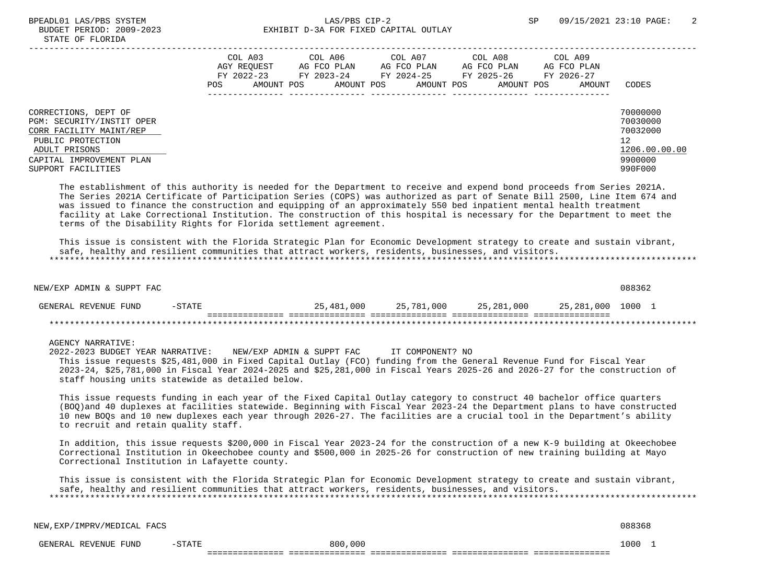|                                                                                                                                                                      | COL A03<br>AGY REOUEST<br>FY 2022-23<br>POS | AMOUNT POS | COL A06<br>AG FCO PLAN<br>FY 2023-24<br>AMOUNT POS | COL A07<br>AG FCO PLAN<br>FY 2024-25<br>AMOUNT POS | COL A08<br>AG FCO PLAN<br>FY 2025-26<br>AMOUNT POS | COL A09<br>AG FCO PLAN<br>FY 2026-27<br>AMOUNT | CODES                                                                         |
|----------------------------------------------------------------------------------------------------------------------------------------------------------------------|---------------------------------------------|------------|----------------------------------------------------|----------------------------------------------------|----------------------------------------------------|------------------------------------------------|-------------------------------------------------------------------------------|
| CORRECTIONS, DEPT OF<br>PGM: SECURITY/INSTIT OPER<br>CORR FACILITY MAINT/REP<br>PUBLIC PROTECTION<br>ADULT PRISONS<br>CAPITAL IMPROVEMENT PLAN<br>SUPPORT FACILITIES |                                             |            |                                                    |                                                    |                                                    |                                                | 70000000<br>70030000<br>70032000<br>12<br>1206.00.00.00<br>9900000<br>990F000 |

 The establishment of this authority is needed for the Department to receive and expend bond proceeds from Series 2021A. The Series 2021A Certificate of Participation Series (COPS) was authorized as part of Senate Bill 2500, Line Item 674 and was issued to finance the construction and equipping of an approximately 550 bed inpatient mental health treatment facility at Lake Correctional Institution. The construction of this hospital is necessary for the Department to meet the terms of the Disability Rights for Florida settlement agreement.

 This issue is consistent with the Florida Strategic Plan for Economic Development strategy to create and sustain vibrant, safe, healthy and resilient communities that attract workers, residents, businesses, and visitors. \*\*\*\*\*\*\*\*\*\*\*\*\*\*\*\*\*\*\*\*\*\*\*\*\*\*\*\*\*\*\*\*\*\*\*\*\*\*\*\*\*\*\*\*\*\*\*\*\*\*\*\*\*\*\*\*\*\*\*\*\*\*\*\*\*\*\*\*\*\*\*\*\*\*\*\*\*\*\*\*\*\*\*\*\*\*\*\*\*\*\*\*\*\*\*\*\*\*\*\*\*\*\*\*\*\*\*\*\*\*\*\*\*\*\*\*\*\*\*\*\*\*\*\*\*\*\*

 NEW/EXP ADMIN & SUPPT FAC 088362 GENERAL REVENUE FUND -STATE 25,481,000 25,781,000 25,281,000 25,281,000 1000 1 =============== =============== =============== =============== =============== \*\*\*\*\*\*\*\*\*\*\*\*\*\*\*\*\*\*\*\*\*\*\*\*\*\*\*\*\*\*\*\*\*\*\*\*\*\*\*\*\*\*\*\*\*\*\*\*\*\*\*\*\*\*\*\*\*\*\*\*\*\*\*\*\*\*\*\*\*\*\*\*\*\*\*\*\*\*\*\*\*\*\*\*\*\*\*\*\*\*\*\*\*\*\*\*\*\*\*\*\*\*\*\*\*\*\*\*\*\*\*\*\*\*\*\*\*\*\*\*\*\*\*\*\*\*\*

#### AGENCY NARRATIVE:

 2022-2023 BUDGET YEAR NARRATIVE: NEW/EXP ADMIN & SUPPT FAC IT COMPONENT? NO This issue requests \$25,481,000 in Fixed Capital Outlay (FCO) funding from the General Revenue Fund for Fiscal Year 2023-24, \$25,781,000 in Fiscal Year 2024-2025 and \$25,281,000 in Fiscal Years 2025-26 and 2026-27 for the construction of staff housing units statewide as detailed below.

 This issue requests funding in each year of the Fixed Capital Outlay category to construct 40 bachelor office quarters (BOQ)and 40 duplexes at facilities statewide. Beginning with Fiscal Year 2023-24 the Department plans to have constructed 10 new BOQs and 10 new duplexes each year through 2026-27. The facilities are a crucial tool in the Department's ability to recruit and retain quality staff.

 In addition, this issue requests \$200,000 in Fiscal Year 2023-24 for the construction of a new K-9 building at Okeechobee Correctional Institution in Okeechobee county and \$500,000 in 2025-26 for construction of new training building at Mayo Correctional Institution in Lafayette county.

 This issue is consistent with the Florida Strategic Plan for Economic Development strategy to create and sustain vibrant, safe, healthy and resilient communities that attract workers, residents, businesses, and visitors. \*\*\*\*\*\*\*\*\*\*\*\*\*\*\*\*\*\*\*\*\*\*\*\*\*\*\*\*\*\*\*\*\*\*\*\*\*\*\*\*\*\*\*\*\*\*\*\*\*\*\*\*\*\*\*\*\*\*\*\*\*\*\*\*\*\*\*\*\*\*\*\*\*\*\*\*\*\*\*\*\*\*\*\*\*\*\*\*\*\*\*\*\*\*\*\*\*\*\*\*\*\*\*\*\*\*\*\*\*\*\*\*\*\*\*\*\*\*\*\*\*\*\*\*\*\*\*

NEW,EXP/IMPRV/MEDICAL FACS 088368

 GENERAL REVENUE FUND -STATE 800,000 1000 1 =============== =============== =============== =============== ===============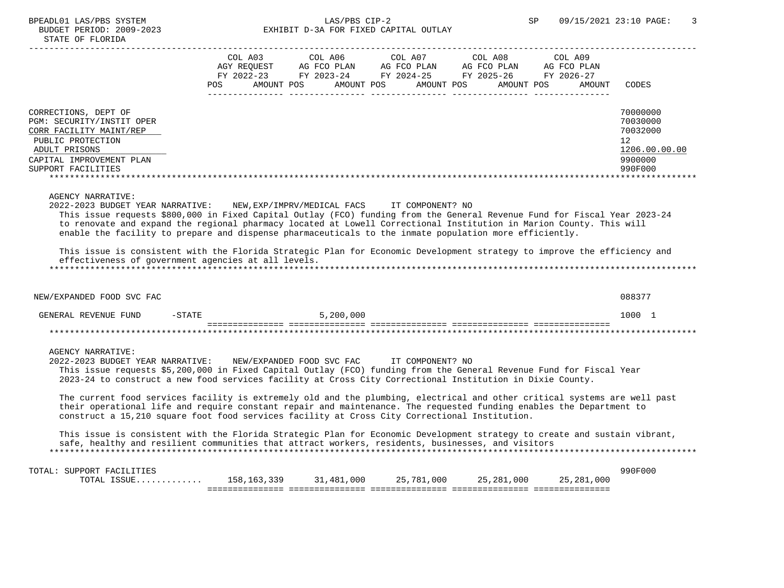BUDGET PERIOD: 2009-2023 STATE OF FLORIDA

# BPEADL01 LAS/PBS SYSTEM LAS/PBS CIP-2 SP 09/15/2021 23:10 PAGE: 3<br>BUDGET DERIOD: 2009 2022 SP EVELPLE D.33 FOR FIVED CARITAL OUTLAY

| LODGEI FERIOD: 2009-2023<br>STATE OF FLORIDA                                                      | LANIIDII DTJA FUN FIABD CAFIIAD OUIDAI                                                                                                                                                                                                                                        |                                        |
|---------------------------------------------------------------------------------------------------|-------------------------------------------------------------------------------------------------------------------------------------------------------------------------------------------------------------------------------------------------------------------------------|----------------------------------------|
|                                                                                                   | COL A03<br>COL A07<br>COL A08<br>COL A09<br>COL A06<br>AGY REOUEST<br>AG FCO PLAN<br>AG FCO PLAN<br>AG FCO PLAN<br>AG FCO PLAN<br>FY 2022-23<br>FY 2025-26<br>FY 2026-27<br>FY 2023-24<br>FY 2024-25<br>POS<br>AMOUNT POS<br>AMOUNT POS<br>AMOUNT POS<br>AMOUNT POS<br>AMOUNT | CODES                                  |
| CORRECTIONS, DEPT OF<br>PGM: SECURITY/INSTIT OPER<br>CORR FACILITY MAINT/REP<br>PUBLIC PROTECTION |                                                                                                                                                                                                                                                                               | 70000000<br>70030000<br>70032000<br>12 |

| ADULT PRISONS            | 1206.00.00.00 |
|--------------------------|---------------|
| CAPITAL IMPROVEMENT PLAN | 9900000       |
| SUPPORT FACILITIES       | 990F000       |
|                          |               |

## AGENCY NARRATIVE:

> 2022-2023 BUDGET YEAR NARRATIVE: NEW,EXP/IMPRV/MEDICAL FACS IT COMPONENT? NO This issue requests \$800,000 in Fixed Capital Outlay (FCO) funding from the General Revenue Fund for Fiscal Year 2023-24 to renovate and expand the regional pharmacy located at Lowell Correctional Institution in Marion County. This will enable the facility to prepare and dispense pharmaceuticals to the inmate population more efficiently.

 This issue is consistent with the Florida Strategic Plan for Economic Development strategy to improve the efficiency and effectiveness of government agencies at all levels. \*\*\*\*\*\*\*\*\*\*\*\*\*\*\*\*\*\*\*\*\*\*\*\*\*\*\*\*\*\*\*\*\*\*\*\*\*\*\*\*\*\*\*\*\*\*\*\*\*\*\*\*\*\*\*\*\*\*\*\*\*\*\*\*\*\*\*\*\*\*\*\*\*\*\*\*\*\*\*\*\*\*\*\*\*\*\*\*\*\*\*\*\*\*\*\*\*\*\*\*\*\*\*\*\*\*\*\*\*\*\*\*\*\*\*\*\*\*\*\*\*\*\*\*\*\*\*

| <b>FUND</b><br>REVENUE<br>7F.NER AI | $-STATE$ | 5,200,000 | 000∟ |
|-------------------------------------|----------|-----------|------|
|                                     |          |           |      |

## AGENCY NARRATIVE:

 2022-2023 BUDGET YEAR NARRATIVE: NEW/EXPANDED FOOD SVC FAC IT COMPONENT? NO This issue requests \$5,200,000 in Fixed Capital Outlay (FCO) funding from the General Revenue Fund for Fiscal Year 2023-24 to construct a new food services facility at Cross City Correctional Institution in Dixie County.

NEW/EXPANDED FOOD SVC FAC 088377

 The current food services facility is extremely old and the plumbing, electrical and other critical systems are well past their operational life and require constant repair and maintenance. The requested funding enables the Department to construct a 15,210 square foot food services facility at Cross City Correctional Institution.

 This issue is consistent with the Florida Strategic Plan for Economic Development strategy to create and sustain vibrant, safe, healthy and resilient communities that attract workers, residents, businesses, and visitors \*\*\*\*\*\*\*\*\*\*\*\*\*\*\*\*\*\*\*\*\*\*\*\*\*\*\*\*\*\*\*\*\*\*\*\*\*\*\*\*\*\*\*\*\*\*\*\*\*\*\*\*\*\*\*\*\*\*\*\*\*\*\*\*\*\*\*\*\*\*\*\*\*\*\*\*\*\*\*\*\*\*\*\*\*\*\*\*\*\*\*\*\*\*\*\*\*\*\*\*\*\*\*\*\*\*\*\*\*\*\*\*\*\*\*\*\*\*\*\*\*\*\*\*\*\*\*

|                                                | _______________<br>--------------- | ____<br>___________<br>____________<br>----- | _____________<br>___________<br>$ -$ | _ _ _ _ _ _ _ _ _ _<br>__________<br>______ | ________________<br>--------------- |         |
|------------------------------------------------|------------------------------------|----------------------------------------------|--------------------------------------|---------------------------------------------|-------------------------------------|---------|
| TOTAL<br>CCTT                                  | 339<br>.58<br>.                    | 000<br>481                                   | つに<br>000<br>781,<br>ر ے             | つに<br>,000<br>$\cap$ $\cap$ $\cdot$         | ,000<br>つに<br>າຂີ                   |         |
| TOTA.<br>FACT<br>ס∩חםדי<br>UR.<br><b>IVIAL</b> |                                    |                                              |                                      |                                             |                                     | 990F000 |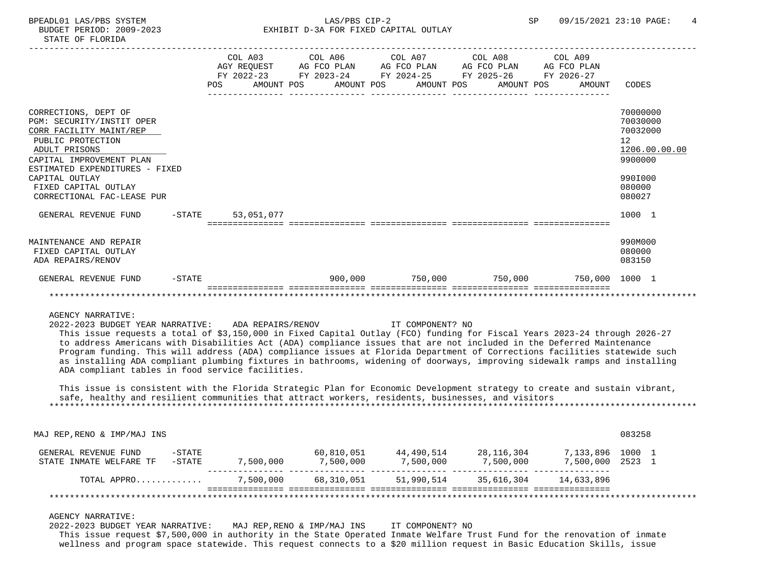|                                                      |        |     | COL A03                  | COL A06                             | COL A07     | COL A08                  | COL A09                |                      |
|------------------------------------------------------|--------|-----|--------------------------|-------------------------------------|-------------|--------------------------|------------------------|----------------------|
|                                                      |        |     | AGY REQUEST AG FCO PLAN  |                                     | AG FCO PLAN | AG FCO PLAN              | AG FCO PLAN            |                      |
|                                                      |        | POS | FY 2022-23<br>AMOUNT POS | FY 2023-24 FY 2024-25<br>AMOUNT POS | AMOUNT POS  | FY 2025-26<br>AMOUNT POS | FY 2026-27<br>AMOUNT   | CODES                |
|                                                      |        |     |                          |                                     |             |                          |                        |                      |
|                                                      |        |     |                          |                                     |             |                          |                        |                      |
| CORRECTIONS, DEPT OF                                 |        |     |                          |                                     |             |                          |                        | 70000000             |
| PGM: SECURITY/INSTIT OPER<br>CORR FACILITY MAINT/REP |        |     |                          |                                     |             |                          |                        | 70030000<br>70032000 |
| PUBLIC PROTECTION                                    |        |     |                          |                                     |             |                          |                        | 12                   |
| ADULT PRISONS                                        |        |     |                          |                                     |             |                          |                        | 1206.00.00.00        |
| CAPITAL IMPROVEMENT PLAN                             |        |     |                          |                                     |             |                          |                        | 9900000              |
| ESTIMATED EXPENDITURES - FIXED                       |        |     |                          |                                     |             |                          |                        |                      |
| CAPITAL OUTLAY                                       |        |     |                          |                                     |             |                          |                        | 990I000              |
| FIXED CAPITAL OUTLAY<br>CORRECTIONAL FAC-LEASE PUR   |        |     |                          |                                     |             |                          |                        | 080000<br>080027     |
|                                                      |        |     |                          |                                     |             |                          |                        |                      |
| GENERAL REVENUE FUND<br>$-\mathtt{STATE}$            |        |     | 53,051,077               |                                     |             |                          |                        | 1000 1               |
|                                                      |        |     |                          |                                     |             |                          |                        |                      |
| MAINTENANCE AND REPAIR                               |        |     |                          |                                     |             |                          |                        | 990M000              |
| FIXED CAPITAL OUTLAY                                 |        |     |                          |                                     |             |                          |                        | 080000               |
| ADA REPAIRS/RENOV                                    |        |     |                          |                                     |             |                          |                        | 083150               |
| GENERAL REVENUE FUND                                 | -STATE |     |                          | 900,000                             | 750,000     |                          | 750,000 750,000 1000 1 |                      |
|                                                      |        |     |                          |                                     |             |                          |                        |                      |

AGENCY NARRATIVE:

 2022-2023 BUDGET YEAR NARRATIVE: ADA REPAIRS/RENOV IT COMPONENT? NO This issue requests a total of \$3,150,000 in Fixed Capital Outlay (FCO) funding for Fiscal Years 2023-24 through 2026-27 to address Americans with Disabilities Act (ADA) compliance issues that are not included in the Deferred Maintenance Program funding. This will address (ADA) compliance issues at Florida Department of Corrections facilities statewide such as installing ADA compliant plumbing fixtures in bathrooms, widening of doorways, improving sidewalk ramps and installing ADA compliant tables in food service facilities.

 This issue is consistent with the Florida Strategic Plan for Economic Development strategy to create and sustain vibrant, safe, healthy and resilient communities that attract workers, residents, businesses, and visitors \*\*\*\*\*\*\*\*\*\*\*\*\*\*\*\*\*\*\*\*\*\*\*\*\*\*\*\*\*\*\*\*\*\*\*\*\*\*\*\*\*\*\*\*\*\*\*\*\*\*\*\*\*\*\*\*\*\*\*\*\*\*\*\*\*\*\*\*\*\*\*\*\*\*\*\*\*\*\*\*\*\*\*\*\*\*\*\*\*\*\*\*\*\*\*\*\*\*\*\*\*\*\*\*\*\*\*\*\*\*\*\*\*\*\*\*\*\*\*\*\*\*\*\*\*\*\*

| $-$ STATE<br>GENERAL REVENUE FUND<br>$-STATE$<br>STATE INMATE WELFARE TF | 7.500.000 | 60,810,051<br>7,500,000 | 44,490,514<br>7,500,000 | 28,116,304<br>7,500,000 | 7,133,896 1000 1<br>7,500,000 | 2523 1 |  |
|--------------------------------------------------------------------------|-----------|-------------------------|-------------------------|-------------------------|-------------------------------|--------|--|
| TOTAL APPRO                                                              | 7,500,000 | 68,310,051              | 51,990,514              | 35,616,304              | 14,633,896                    |        |  |

## AGENCY NARRATIVE:

 2022-2023 BUDGET YEAR NARRATIVE: MAJ REP,RENO & IMP/MAJ INS IT COMPONENT? NO This issue request \$7,500,000 in authority in the State Operated Inmate Welfare Trust Fund for the renovation of inmate wellness and program space statewide. This request connects to a \$20 million request in Basic Education Skills, issue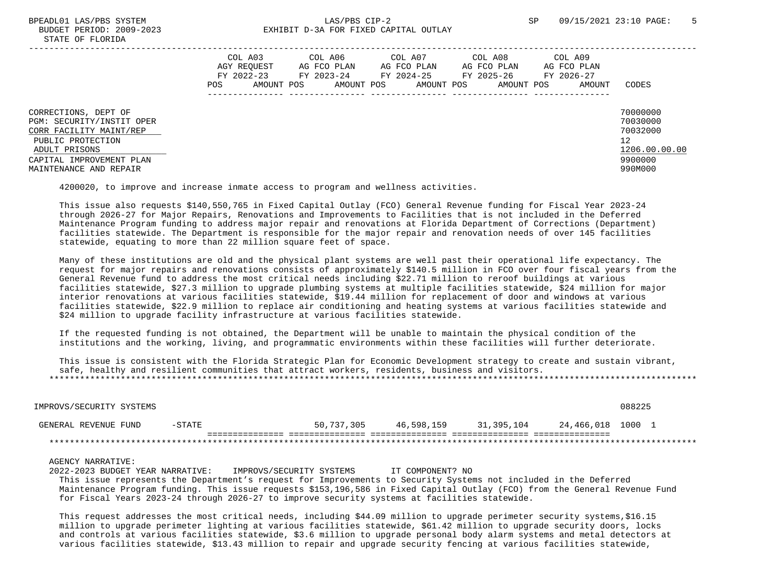|                                                                                                                                                                          | COL A03<br>AGY REOUEST<br>FY 2022-23<br>POS<br>AMOUNT POS | COL A06<br>AG FCO PLAN<br>FY 2023-24<br>AMOUNT POS | COL A07<br>AG FCO PLAN<br>FY 2024-25<br>AMOUNT POS | COL A08<br>AG FCO PLAN<br>FY 2025-26<br>AMOUNT POS | COL A09<br>AG FCO PLAN<br>FY 2026-27<br>AMOUNT | CODES                                                                         |
|--------------------------------------------------------------------------------------------------------------------------------------------------------------------------|-----------------------------------------------------------|----------------------------------------------------|----------------------------------------------------|----------------------------------------------------|------------------------------------------------|-------------------------------------------------------------------------------|
| CORRECTIONS, DEPT OF<br>PGM: SECURITY/INSTIT OPER<br>CORR FACILITY MAINT/REP<br>PUBLIC PROTECTION<br>ADULT PRISONS<br>CAPITAL IMPROVEMENT PLAN<br>MAINTENANCE AND REPAIR |                                                           |                                                    |                                                    |                                                    |                                                | 70000000<br>70030000<br>70032000<br>12<br>1206.00.00.00<br>9900000<br>990M000 |

4200020, to improve and increase inmate access to program and wellness activities.

 This issue also requests \$140,550,765 in Fixed Capital Outlay (FCO) General Revenue funding for Fiscal Year 2023-24 through 2026-27 for Major Repairs, Renovations and Improvements to Facilities that is not included in the Deferred Maintenance Program funding to address major repair and renovations at Florida Department of Corrections (Department) facilities statewide. The Department is responsible for the major repair and renovation needs of over 145 facilities statewide, equating to more than 22 million square feet of space.

 Many of these institutions are old and the physical plant systems are well past their operational life expectancy. The request for major repairs and renovations consists of approximately \$140.5 million in FCO over four fiscal years from the General Revenue fund to address the most critical needs including \$22.71 million to reroof buildings at various facilities statewide, \$27.3 million to upgrade plumbing systems at multiple facilities statewide, \$24 million for major interior renovations at various facilities statewide, \$19.44 million for replacement of door and windows at various facilities statewide, \$22.9 million to replace air conditioning and heating systems at various facilities statewide and \$24 million to upgrade facility infrastructure at various facilities statewide.

 If the requested funding is not obtained, the Department will be unable to maintain the physical condition of the institutions and the working, living, and programmatic environments within these facilities will further deteriorate.

 This issue is consistent with the Florida Strategic Plan for Economic Development strategy to create and sustain vibrant, safe, healthy and resilient communities that attract workers, residents, business and visitors. \*\*\*\*\*\*\*\*\*\*\*\*\*\*\*\*\*\*\*\*\*\*\*\*\*\*\*\*\*\*\*\*\*\*\*\*\*\*\*\*\*\*\*\*\*\*\*\*\*\*\*\*\*\*\*\*\*\*\*\*\*\*\*\*\*\*\*\*\*\*\*\*\*\*\*\*\*\*\*\*\*\*\*\*\*\*\*\*\*\*\*\*\*\*\*\*\*\*\*\*\*\*\*\*\*\*\*\*\*\*\*\*\*\*\*\*\*\*\*\*\*\*\*\*\*\*\*

| IMPROVS/SECURITY SYSTEMS |        |            |            |            | 088225            |
|--------------------------|--------|------------|------------|------------|-------------------|
| GENERAL REVENUE FUND     | -STATE | 50,737,305 | 46.598.159 | 31,395,104 | 24,466,018 1000 1 |
|                          |        |            |            |            |                   |

### AGENCY NARRATIVE:

 2022-2023 BUDGET YEAR NARRATIVE: IMPROVS/SECURITY SYSTEMS IT COMPONENT? NO This issue represents the Department's request for Improvements to Security Systems not included in the Deferred Maintenance Program funding. This issue requests \$153,196,586 in Fixed Capital Outlay (FCO) from the General Revenue Fund for Fiscal Years 2023-24 through 2026-27 to improve security systems at facilities statewide.

 This request addresses the most critical needs, including \$44.09 million to upgrade perimeter security systems,\$16.15 million to upgrade perimeter lighting at various facilities statewide, \$61.42 million to upgrade security doors, locks and controls at various facilities statewide, \$3.6 million to upgrade personal body alarm systems and metal detectors at various facilities statewide, \$13.43 million to repair and upgrade security fencing at various facilities statewide,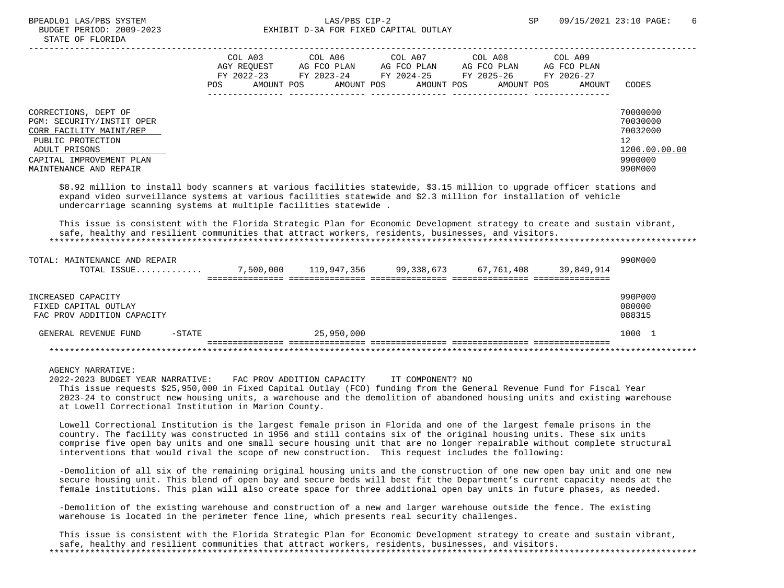# BPEADL01 LAS/PBS SYSTEM 6 CONTROLLER SP 09/15/2021 23:10 PAGE: 6 BUDGET PERIOD: 2009-2023 EXHIBIT D-3A FOR FIXED CAPITAL OUTLAY

|                                                                                                                                                                          | COL A03<br>AGY REOUEST<br>FY 2022-23<br>AMOUNT POS<br>POS | COL A06<br>AG FCO PLAN<br>FY 2023-24<br>AMOUNT POS | COL A07<br>AG FCO PLAN<br>FY 2024-25<br>AMOUNT POS | COL A08<br>AG FCO PLAN<br>FY 2025-26<br>AMOUNT POS | COL A09<br>AG FCO PLAN<br>FY 2026-27<br>AMOUNT | CODES                                                                         |
|--------------------------------------------------------------------------------------------------------------------------------------------------------------------------|-----------------------------------------------------------|----------------------------------------------------|----------------------------------------------------|----------------------------------------------------|------------------------------------------------|-------------------------------------------------------------------------------|
| CORRECTIONS, DEPT OF<br>PGM: SECURITY/INSTIT OPER<br>CORR FACILITY MAINT/REP<br>PUBLIC PROTECTION<br>ADULT PRISONS<br>CAPITAL IMPROVEMENT PLAN<br>MAINTENANCE AND REPAIR |                                                           |                                                    |                                                    |                                                    |                                                | 70000000<br>70030000<br>70032000<br>12<br>1206.00.00.00<br>9900000<br>990M000 |

 \$8.92 million to install body scanners at various facilities statewide, \$3.15 million to upgrade officer stations and expand video surveillance systems at various facilities statewide and \$2.3 million for installation of vehicle undercarriage scanning systems at multiple facilities statewide .

 This issue is consistent with the Florida Strategic Plan for Economic Development strategy to create and sustain vibrant, safe, healthy and resilient communities that attract workers, residents, businesses, and visitors. \*\*\*\*\*\*\*\*\*\*\*\*\*\*\*\*\*\*\*\*\*\*\*\*\*\*\*\*\*\*\*\*\*\*\*\*\*\*\*\*\*\*\*\*\*\*\*\*\*\*\*\*\*\*\*\*\*\*\*\*\*\*\*\*\*\*\*\*\*\*\*\*\*\*\*\*\*\*\*\*\*\*\*\*\*\*\*\*\*\*\*\*\*\*\*\*\*\*\*\*\*\*\*\*\*\*\*\*\*\*\*\*\*\*\*\*\*\*\*\*\*\*\*\*\*\*\*

| TOTAL: MAINTENANCE AND REPAIR<br>TOTAL ISSUE                             |           | 7,500,000 | 119,947,356 | 99,338,673 | 67,761,408 | 39,849,914 | 990M000                     |
|--------------------------------------------------------------------------|-----------|-----------|-------------|------------|------------|------------|-----------------------------|
| INCREASED CAPACITY<br>FIXED CAPITAL OUTLAY<br>FAC PROV ADDITION CAPACITY |           |           |             |            |            |            | 990P000<br>080000<br>088315 |
| GENERAL REVENUE FUND                                                     | $-$ STATE |           | 25,950,000  |            |            |            | 1000 1                      |
|                                                                          |           |           |             |            |            |            |                             |

AGENCY NARRATIVE:

 2022-2023 BUDGET YEAR NARRATIVE: FAC PROV ADDITION CAPACITY IT COMPONENT? NO This issue requests \$25,950,000 in Fixed Capital Outlay (FCO) funding from the General Revenue Fund for Fiscal Year 2023-24 to construct new housing units, a warehouse and the demolition of abandoned housing units and existing warehouse at Lowell Correctional Institution in Marion County.

 Lowell Correctional Institution is the largest female prison in Florida and one of the largest female prisons in the country. The facility was constructed in 1956 and still contains six of the original housing units. These six units comprise five open bay units and one small secure housing unit that are no longer repairable without complete structural interventions that would rival the scope of new construction. This request includes the following:

 -Demolition of all six of the remaining original housing units and the construction of one new open bay unit and one new secure housing unit. This blend of open bay and secure beds will best fit the Department's current capacity needs at the female institutions. This plan will also create space for three additional open bay units in future phases, as needed.

 -Demolition of the existing warehouse and construction of a new and larger warehouse outside the fence. The existing warehouse is located in the perimeter fence line, which presents real security challenges.

 This issue is consistent with the Florida Strategic Plan for Economic Development strategy to create and sustain vibrant, safe, healthy and resilient communities that attract workers, residents, businesses, and visitors. \*\*\*\*\*\*\*\*\*\*\*\*\*\*\*\*\*\*\*\*\*\*\*\*\*\*\*\*\*\*\*\*\*\*\*\*\*\*\*\*\*\*\*\*\*\*\*\*\*\*\*\*\*\*\*\*\*\*\*\*\*\*\*\*\*\*\*\*\*\*\*\*\*\*\*\*\*\*\*\*\*\*\*\*\*\*\*\*\*\*\*\*\*\*\*\*\*\*\*\*\*\*\*\*\*\*\*\*\*\*\*\*\*\*\*\*\*\*\*\*\*\*\*\*\*\*\*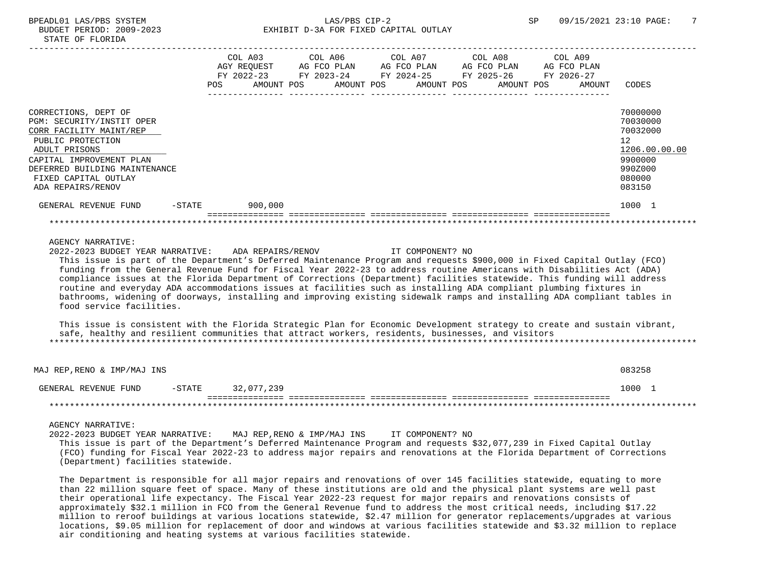# BPEADL01 LAS/PBS SYSTEM SALLAS/PBS CIP-2 SP 09/15/2021 23:10 PAGE: 7 BUDGET PERIOD: 2009-2023 EXHIBIT D-3A FOR FIXED CAPITAL OUTLAY

|                                                                                                                                                                                                                                                                                                                                                                                                                                                                                                                                                                                                  | <b>POS</b> |         | COL A03 COL A06 COL A07 COL A08<br>AGY REOUEST AG FCO PLAN AG FCO PLAN AG FCO PLAN AG FCO PLAN<br>FY 2022-23 FY 2023-24 FY 2024-25 FY 2025-26 FY 2026-27<br>AMOUNT POS       AMOUNT POS      AMOUNT POS      AMOUNT POS |  |  | COL A09<br>AMOUNT | CODES                                                                                                          |
|--------------------------------------------------------------------------------------------------------------------------------------------------------------------------------------------------------------------------------------------------------------------------------------------------------------------------------------------------------------------------------------------------------------------------------------------------------------------------------------------------------------------------------------------------------------------------------------------------|------------|---------|-------------------------------------------------------------------------------------------------------------------------------------------------------------------------------------------------------------------------|--|--|-------------------|----------------------------------------------------------------------------------------------------------------|
| CORRECTIONS, DEPT OF<br>PGM: SECURITY/INSTIT OPER<br>CORR FACILITY MAINT/REP<br>PUBLIC PROTECTION<br>ADULT PRISONS<br>CAPITAL IMPROVEMENT PLAN<br>DEFERRED BUILDING MAINTENANCE<br>FIXED CAPITAL OUTLAY<br>ADA REPAIRS/RENOV                                                                                                                                                                                                                                                                                                                                                                     |            |         |                                                                                                                                                                                                                         |  |  |                   | 70000000<br>70030000<br>70032000<br>12 <sub>2</sub><br>1206.00.00.00<br>9900000<br>990Z000<br>080000<br>083150 |
| $-$ STATE<br>GENERAL REVENUE FUND                                                                                                                                                                                                                                                                                                                                                                                                                                                                                                                                                                |            | 900,000 |                                                                                                                                                                                                                         |  |  |                   | 1000 1                                                                                                         |
|                                                                                                                                                                                                                                                                                                                                                                                                                                                                                                                                                                                                  |            |         |                                                                                                                                                                                                                         |  |  |                   |                                                                                                                |
| AGENCY NARRATIVE:<br>2022-2023 BUDGET YEAR NARRATIVE: ADA REPAIRS/RENOV THE COMPONENT? NO<br>This issue is part of the Department's Deferred Maintenance Program and requests \$900,000 in Fixed Capital Outlay (FCO)<br>funding from the General Revenue Fund for Fiscal Year 2022-23 to address routine Americans with Disabilities Act (ADA)<br>compliance issues at the Florida Department of Corrections (Department) facilities statewide. This funding will address<br>routine and everyday ADA accommodations issues at facilities such as installing ADA compliant plumbing fixtures in |            |         |                                                                                                                                                                                                                         |  |  |                   |                                                                                                                |

 bathrooms, widening of doorways, installing and improving existing sidewalk ramps and installing ADA compliant tables in food service facilities.

 This issue is consistent with the Florida Strategic Plan for Economic Development strategy to create and sustain vibrant, safe, healthy and resilient communities that attract workers, residents, businesses, and visitors \*\*\*\*\*\*\*\*\*\*\*\*\*\*\*\*\*\*\*\*\*\*\*\*\*\*\*\*\*\*\*\*\*\*\*\*\*\*\*\*\*\*\*\*\*\*\*\*\*\*\*\*\*\*\*\*\*\*\*\*\*\*\*\*\*\*\*\*\*\*\*\*\*\*\*\*\*\*\*\*\*\*\*\*\*\*\*\*\*\*\*\*\*\*\*\*\*\*\*\*\*\*\*\*\*\*\*\*\*\*\*\*\*\*\*\*\*\*\*\*\*\*\*\*\*\*\*

 MAJ REP,RENO & IMP/MAJ INS 083258 GENERAL REVENUE FUND -STATE 32.077.239 1000 1 =============== =============== =============== =============== =============== \*\*\*\*\*\*\*\*\*\*\*\*\*\*\*\*\*\*\*\*\*\*\*\*\*\*\*\*\*\*\*\*\*\*\*\*\*\*\*\*\*\*\*\*\*\*\*\*\*\*\*\*\*\*\*\*\*\*\*\*\*\*\*\*\*\*\*\*\*\*\*\*\*\*\*\*\*\*\*\*\*\*\*\*\*\*\*\*\*\*\*\*\*\*\*\*\*\*\*\*\*\*\*\*\*\*\*\*\*\*\*\*\*\*\*\*\*\*\*\*\*\*\*\*\*\*\*

AGENCY NARRATIVE:

 2022-2023 BUDGET YEAR NARRATIVE: MAJ REP,RENO & IMP/MAJ INS IT COMPONENT? NO This issue is part of the Department's Deferred Maintenance Program and requests \$32,077,239 in Fixed Capital Outlay (FCO) funding for Fiscal Year 2022-23 to address major repairs and renovations at the Florida Department of Corrections (Department) facilities statewide.

 The Department is responsible for all major repairs and renovations of over 145 facilities statewide, equating to more than 22 million square feet of space. Many of these institutions are old and the physical plant systems are well past their operational life expectancy. The Fiscal Year 2022-23 request for major repairs and renovations consists of approximately \$32.1 million in FCO from the General Revenue fund to address the most critical needs, including \$17.22 million to reroof buildings at various locations statewide, \$2.47 million for generator replacements/upgrades at various locations, \$9.05 million for replacement of door and windows at various facilities statewide and \$3.32 million to replace air conditioning and heating systems at various facilities statewide.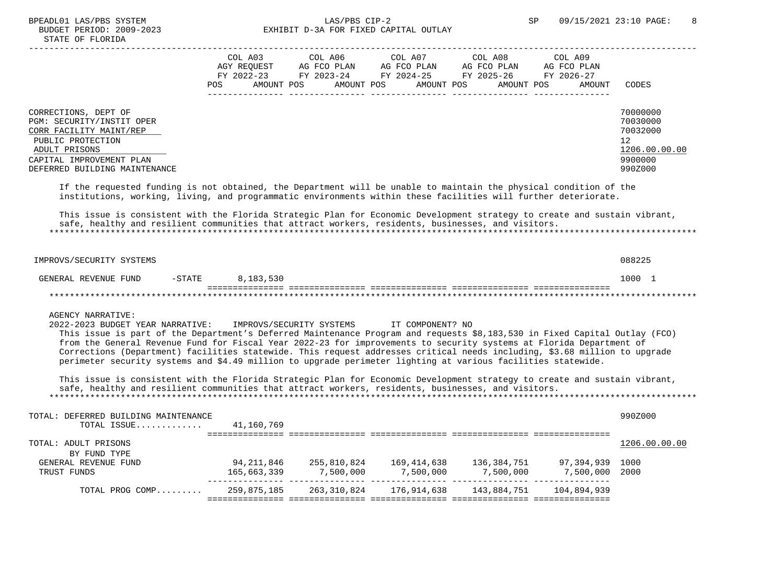# BPEADL01 LAS/PBS SYSTEM  $LAS/PBS$  CIP-2  $SPP$  SP 09/15/2021 23:10 PAGE: 8<br>BUDGET PERIOD: 2009-2023 SP EXHIBIT D-3A FOR FIXED CAPITAL OUTLAY EXHIBIT D-3A FOR FIXED CAPITAL OUTLAY

|                                                                                                                                                                                                                                     | COL A03<br>AGY REOUEST<br>FY 2022-23<br>POS. | AMOUNT POS | COL A06<br>AG FCO PLAN<br>FY 2023-24 | AMOUNT POS | COL A07<br>AG FCO PLAN<br>FY 2024-25<br>AMOUNT POS | COL A08<br>AG FCO PLAN<br>FY 2025-26<br>AMOUNT POS | COL A09<br>AG FCO PLAN<br>FY 2026-27<br>AMOUNT | <b>CODES</b>                                                                  |
|-------------------------------------------------------------------------------------------------------------------------------------------------------------------------------------------------------------------------------------|----------------------------------------------|------------|--------------------------------------|------------|----------------------------------------------------|----------------------------------------------------|------------------------------------------------|-------------------------------------------------------------------------------|
| CORRECTIONS, DEPT OF<br>PGM: SECURITY/INSTIT OPER<br>CORR FACILITY MAINT/REP<br>PUBLIC PROTECTION<br>ADULT PRISONS<br>CAPITAL IMPROVEMENT PLAN<br>DEFERRED BUILDING MAINTENANCE                                                     |                                              |            |                                      |            |                                                    |                                                    |                                                | 70000000<br>70030000<br>70032000<br>12<br>1206.00.00.00<br>9900000<br>990Z000 |
| If the requested funding is not obtained, the Department will be unable to maintain the physical condition of the<br>institutions, working, living, and programmatic environments within these facilities will further deteriorate. |                                              |            |                                      |            |                                                    |                                                    |                                                |                                                                               |

 This issue is consistent with the Florida Strategic Plan for Economic Development strategy to create and sustain vibrant, safe, healthy and resilient communities that attract workers, residents, businesses, and visitors. \*\*\*\*\*\*\*\*\*\*\*\*\*\*\*\*\*\*\*\*\*\*\*\*\*\*\*\*\*\*\*\*\*\*\*\*\*\*\*\*\*\*\*\*\*\*\*\*\*\*\*\*\*\*\*\*\*\*\*\*\*\*\*\*\*\*\*\*\*\*\*\*\*\*\*\*\*\*\*\*\*\*\*\*\*\*\*\*\*\*\*\*\*\*\*\*\*\*\*\*\*\*\*\*\*\*\*\*\*\*\*\*\*\*\*\*\*\*\*\*\*\*\*\*\*\*\*

| IMPROVS/SECURITY SYSTEMS |        |           |  | 088225 |
|--------------------------|--------|-----------|--|--------|
| GENERAL REVENUE FUND     | -STATE | 8,183,530 |  | 1000   |
|                          |        |           |  |        |

AGENCY NARRATIVE:

 2022-2023 BUDGET YEAR NARRATIVE: IMPROVS/SECURITY SYSTEMS IT COMPONENT? NO This issue is part of the Department's Deferred Maintenance Program and requests \$8,183,530 in Fixed Capital Outlay (FCO) from the General Revenue Fund for Fiscal Year 2022-23 for improvements to security systems at Florida Department of Corrections (Department) facilities statewide. This request addresses critical needs including, \$3.68 million to upgrade perimeter security systems and \$4.49 million to upgrade perimeter lighting at various facilities statewide.

 This issue is consistent with the Florida Strategic Plan for Economic Development strategy to create and sustain vibrant, safe, healthy and resilient communities that attract workers, residents, businesses, and visitors. \*\*\*\*\*\*\*\*\*\*\*\*\*\*\*\*\*\*\*\*\*\*\*\*\*\*\*\*\*\*\*\*\*\*\*\*\*\*\*\*\*\*\*\*\*\*\*\*\*\*\*\*\*\*\*\*\*\*\*\*\*\*\*\*\*\*\*\*\*\*\*\*\*\*\*\*\*\*\*\*\*\*\*\*\*\*\*\*\*\*\*\*\*\*\*\*\*\*\*\*\*\*\*\*\*\*\*\*\*\*\*\*\*\*\*\*\*\*\*\*\*\*\*\*\*\*\*

| TOTAL: DEFERRED BUILDING MAINTENANCE |             |             |             |             |             | 990Z000       |
|--------------------------------------|-------------|-------------|-------------|-------------|-------------|---------------|
| TOTAL ISSUE                          | 41,160,769  |             |             |             |             |               |
|                                      |             |             |             |             |             |               |
| TOTAL: ADULT PRISONS                 |             |             |             |             |             | 1206.00.00.00 |
| BY FUND TYPE                         |             |             |             |             |             |               |
| GENERAL REVENUE FUND                 | 94,211,846  | 255,810,824 | 169,414,638 | 136,384,751 | 97,394,939  | 1000          |
| TRUST FUNDS                          | 165,663,339 | 7,500,000   | 7,500,000   | 7,500,000   | 7,500,000   | 2000          |
| TOTAL PROG COMP                      | 259,875,185 | 263,310,824 | 176,914,638 | 143,884,751 | 104,894,939 |               |
|                                      |             |             |             |             |             |               |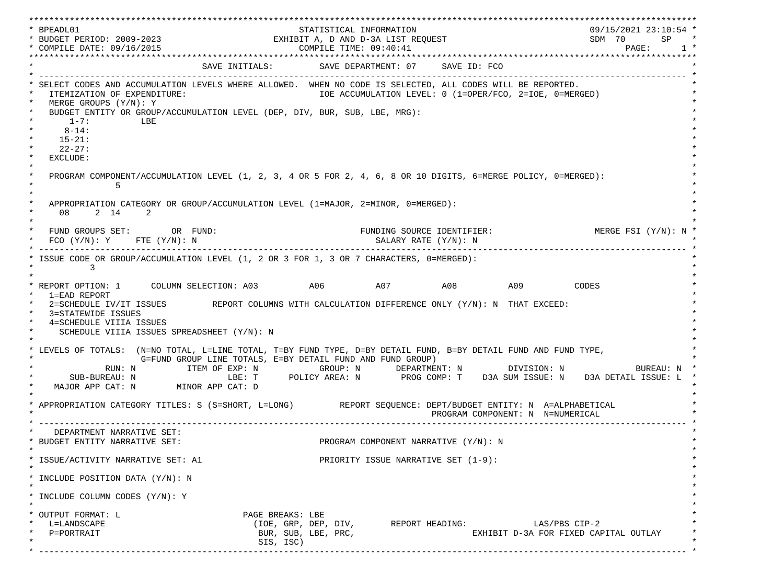\*\*\*\*\*\*\*\*\*\*\*\*\*\*\*\*\*\*\*\*\*\*\*\*\*\*\*\*\*\*\*\*\*\*\*\*\*\*\*\*\*\*\*\*\*\*\*\*\*\*\*\*\*\*\*\*\*\*\*\*\*\*\*\*\*\*\*\*\*\*\*\*\*\*\*\*\*\*\*\*\*\*\*\*\*\*\*\*\*\*\*\*\*\*\*\*\*\*\*\*\*\*\*\*\*\*\*\*\*\*\*\*\*\*\*\*\*\*\*\*\*\*\*\*\*\*\*\*\*\*\* \* BPEADL01 STATISTICAL INFORMATION 09/15/2021 23:10:54 \* \* BUDGET PERIOD: 2009-2023 EXHIBIT A, D AND D-3A LIST REQUEST SDM 70 SP \* \* COMPILE DATE: 09/16/2015 COMPILE TIME: 09:40:41 PAGE: 1 \* \*\*\*\*\*\*\*\*\*\*\*\*\*\*\*\*\*\*\*\*\*\*\*\*\*\*\*\*\*\*\*\*\*\*\*\*\*\*\*\*\*\*\*\*\*\*\*\*\*\*\*\*\*\*\*\*\*\*\*\*\*\*\*\*\*\*\*\*\*\*\*\*\*\*\*\*\*\*\*\*\*\*\*\*\*\*\*\*\*\*\*\*\*\*\*\*\*\*\*\*\*\*\*\*\*\*\*\*\*\*\*\*\*\*\*\*\*\*\*\*\*\*\*\*\*\*\*\*\*\*\* SAVE INITIALS: SAVE DEPARTMENT: 07 SAVE ID: FCO \* ------------------------------------------------------------------------------------------------------------------------------- \* SELECT CODES AND ACCUMULATION LEVELS WHERE ALLOWED. WHEN NO CODE IS SELECTED, ALL CODES WILL BE REPORTED. ITEMIZATION OF EXPENDITURE:  $\overline{10E}$  accumulation level: 0 (1=OPER/FCO, 2=IOE, 0=MERGED) MERGE GROUPS (Y/N): Y BUDGET ENTITY OR GROUP/ACCUMULATION LEVEL (DEP, DIV, BUR, SUB, LBE, MRG):  $*$  1-7: LBE  $*$  $*$  8-14:  $*$  $*$  15-21:  $*$  $*$  22-27: \* \* EXCLUDE: \*  $\star$   $\star$  \* PROGRAM COMPONENT/ACCUMULATION LEVEL (1, 2, 3, 4 OR 5 FOR 2, 4, 6, 8 OR 10 DIGITS, 6=MERGE POLICY, 0=MERGED): \*  $\star$  5  $\star$  $\star$   $\star$ APPROPRIATION CATEGORY OR GROUP/ACCUMULATION LEVEL (1=MAJOR, 2=MINOR, 0=MERGED):  $\star$  08 2 14 2  $\star$  $\star$   $\star$ FUND GROUPS SET: OR FUND: THE SOURCE IDENTIFIER: MERGE FSI (Y/N): N  $FCO (Y/N): Y$  FTE  $(Y/N): N$  SALARY RATE  $(Y/N): N$  \* ------------------------------------------------------------------------------------------------------------------------------- \* ISSUE CODE OR GROUP/ACCUMULATION LEVEL (1, 2 OR 3 FOR 1, 3 OR 7 CHARACTERS, 0=MERGED):  $\star$  3  $\star$  $\star$   $\star$ \* REPORT OPTION: 1 COLUMN SELECTION: A03 A06 A07 A08 A09 CODES \* 1=EAD REPORT \* 2=SCHEDULE IV/IT ISSUES REPORT COLUMNS WITH CALCULATION DIFFERENCE ONLY (Y/N): N THAT EXCEED: 3=STATEWIDE ISSUES 4=SCHEDULE VIIIA ISSUES SCHEDULE VIIIA ISSUES SPREADSHEET (Y/N): N \* \* \* LEVELS OF TOTALS: (N=NO TOTAL, L=LINE TOTAL, T=BY FUND TYPE, D=BY DETAIL FUND, B=BY DETAIL FUND AND FUND TYPE, \* G=FUND GROUP LINE TOTALS, E=BY DETAIL FUND AND FUND GROUP) \* RUN: N ITEM OF EXP: N GROUP: N DEPARTMENT: N DIVISION: N BUREAU: N \* \* SUB-BUREAU: N LBE: T POLICY AREA: N PROG COMP: T D3A SUM ISSUE: N D3A DETAIL ISSUE: L \* MAJOR APP CAT: N MINOR APP CAT: D \* \* APPROPRIATION CATEGORY TITLES: S (S=SHORT, L=LONG) REPORT SEQUENCE: DEPT/BUDGET ENTITY: N A=ALPHABETICAL PROGRAM COMPONENT: N N=NUMERICAL \* ------------------------------------------------------------------------------------------------------------------------------- \* DEPARTMENT NARRATIVE SET:<br>BUDGET ENTITY NARRATIVE SET: PROGRAM COMPONENT NARRATIVE (Y/N): N \* \* \* ISSUE/ACTIVITY NARRATIVE SET: A1 PRIORITY ISSUE NARRATIVE SET (1-9): \*  $\star$   $\star$  \* INCLUDE POSITION DATA (Y/N): N \* \* \* INCLUDE COLUMN CODES  $(Y/N): Y$  \* \* \* OUTPUT FORMAT: L \* \* \* \* \* PAGE BREAKS: LBE \* L=LANDSCAPE (IOE, GRP, DEP, DIV, REPORT HEADING: LAS/PBS CIP-2 \* \* P=PORTRAIT BUR, SUB, LBE, PRC, EXHIBIT D-3A FOR FIXED CAPITAL OUTLAY \* \* SIS, ISC) \* \* ------------------------------------------------------------------------------------------------------------------------------- \*